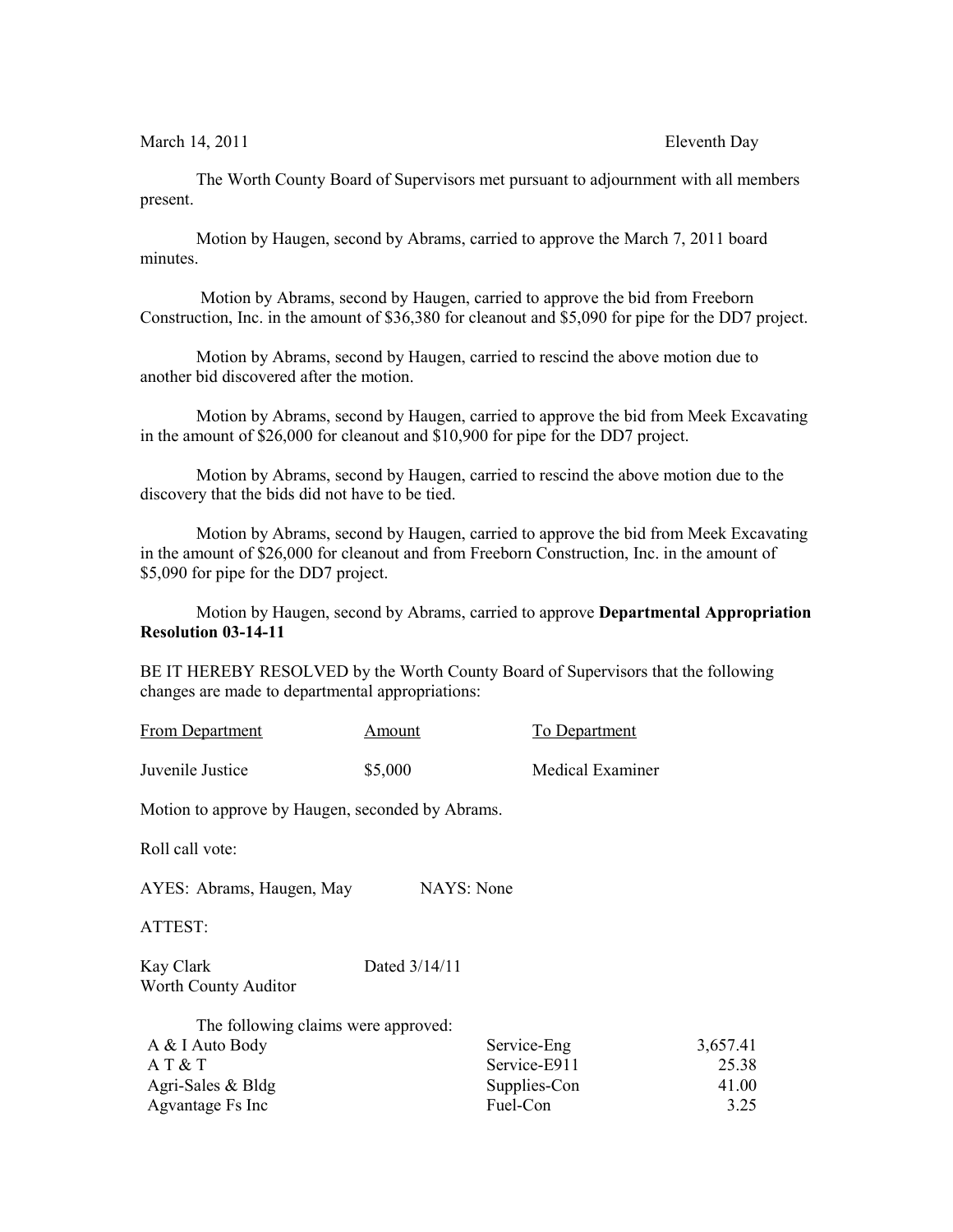March 14, 2011 **Eleventh** Day

The Worth County Board of Supervisors met pursuant to adjournment with all members present.

Motion by Haugen, second by Abrams, carried to approve the March 7, 2011 board minutes.

 Motion by Abrams, second by Haugen, carried to approve the bid from Freeborn Construction, Inc. in the amount of \$36,380 for cleanout and \$5,090 for pipe for the DD7 project.

Motion by Abrams, second by Haugen, carried to rescind the above motion due to another bid discovered after the motion.

Motion by Abrams, second by Haugen, carried to approve the bid from Meek Excavating in the amount of \$26,000 for cleanout and \$10,900 for pipe for the DD7 project.

Motion by Abrams, second by Haugen, carried to rescind the above motion due to the discovery that the bids did not have to be tied.

Motion by Abrams, second by Haugen, carried to approve the bid from Meek Excavating in the amount of \$26,000 for cleanout and from Freeborn Construction, Inc. in the amount of \$5,090 for pipe for the DD7 project.

Motion by Haugen, second by Abrams, carried to approve **Departmental Appropriation Resolution 03-14-11**

BE IT HEREBY RESOLVED by the Worth County Board of Supervisors that the following changes are made to departmental appropriations:

| <b>From Department</b> | Amount  | To Department           |
|------------------------|---------|-------------------------|
| Juvenile Justice       | \$5,000 | <b>Medical Examiner</b> |

Motion to approve by Haugen, seconded by Abrams.

Roll call vote:

AYES: Abrams, Haugen, May NAYS: None

ATTEST:

Kay Clark Dated 3/14/11 Worth County Auditor

| The following claims were approved: |              |          |
|-------------------------------------|--------------|----------|
| A & I Auto Body                     | Service-Eng  | 3,657.41 |
| A T & T                             | Service-E911 | 25.38    |
| Agri-Sales $& Bldg$                 | Supplies-Con | 41.00    |
| Agvantage Fs Inc                    | Fuel-Con     | 3.25     |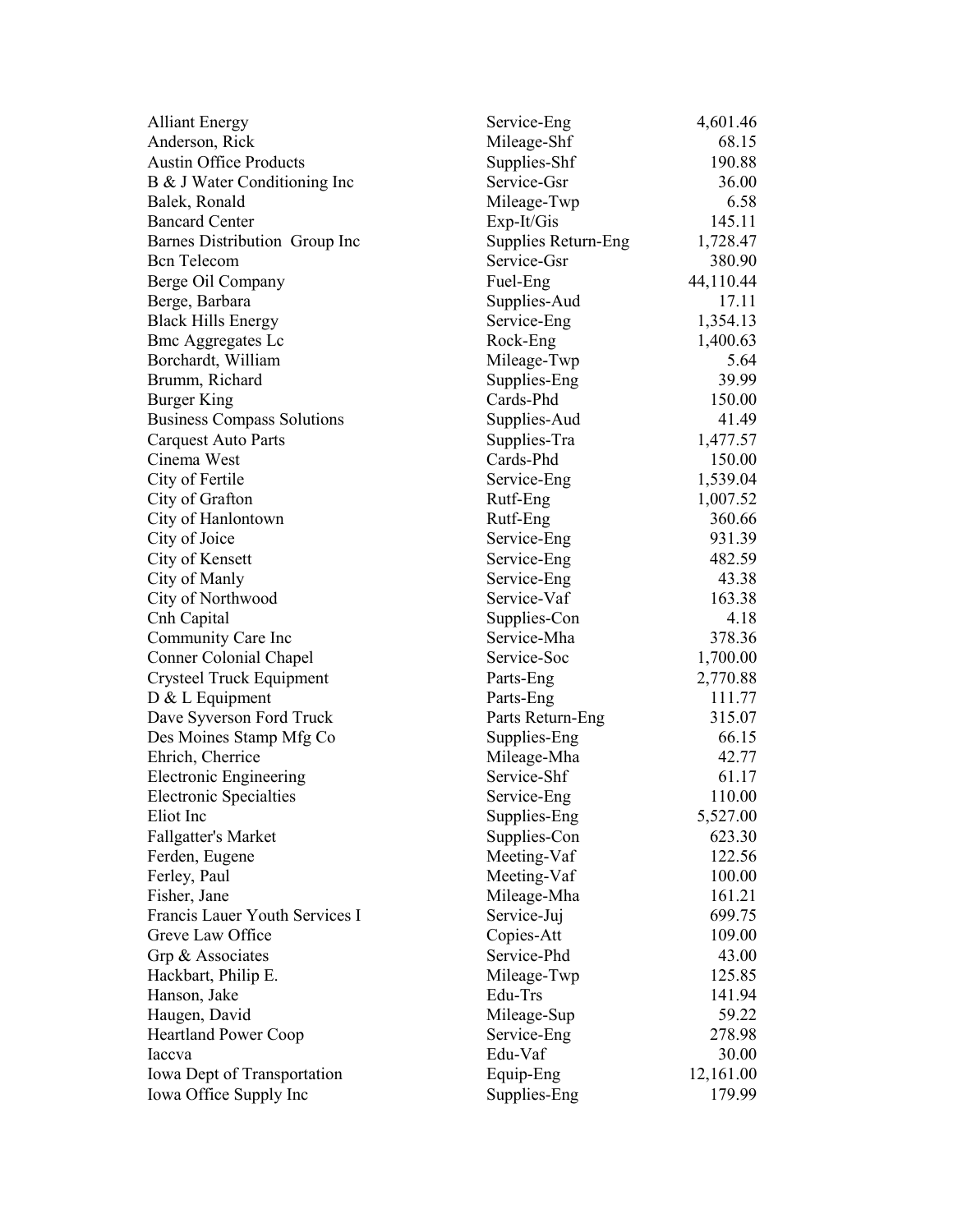| <b>Alliant Energy</b>             | Service-Eng         | 4,601.46  |
|-----------------------------------|---------------------|-----------|
| Anderson, Rick                    | Mileage-Shf         | 68.15     |
| <b>Austin Office Products</b>     | Supplies-Shf        | 190.88    |
| B & J Water Conditioning Inc      | Service-Gsr         | 36.00     |
| Balek, Ronald                     | Mileage-Twp         | 6.58      |
| <b>Bancard Center</b>             | $Exp-It/Gis$        | 145.11    |
| Barnes Distribution Group Inc     | Supplies Return-Eng | 1,728.47  |
| <b>B</b> cn Telecom               | Service-Gsr         | 380.90    |
| Berge Oil Company                 | Fuel-Eng            | 44,110.44 |
| Berge, Barbara                    | Supplies-Aud        | 17.11     |
| <b>Black Hills Energy</b>         | Service-Eng         | 1,354.13  |
| <b>Bmc Aggregates Lc</b>          | Rock-Eng            | 1,400.63  |
| Borchardt, William                | Mileage-Twp         | 5.64      |
| Brumm, Richard                    | Supplies-Eng        | 39.99     |
| <b>Burger King</b>                | Cards-Phd           | 150.00    |
| <b>Business Compass Solutions</b> | Supplies-Aud        | 41.49     |
| <b>Carquest Auto Parts</b>        | Supplies-Tra        | 1,477.57  |
| Cinema West                       | Cards-Phd           | 150.00    |
| City of Fertile                   | Service-Eng         | 1,539.04  |
| City of Grafton                   | Rutf-Eng            | 1,007.52  |
| City of Hanlontown                | Rutf-Eng            | 360.66    |
| City of Joice                     | Service-Eng         | 931.39    |
| City of Kensett                   | Service-Eng         | 482.59    |
| City of Manly                     | Service-Eng         | 43.38     |
| City of Northwood                 | Service-Vaf         | 163.38    |
| Cnh Capital                       | Supplies-Con        | 4.18      |
| Community Care Inc                | Service-Mha         | 378.36    |
| Conner Colonial Chapel            | Service-Soc         | 1,700.00  |
| Crysteel Truck Equipment          | Parts-Eng           | 2,770.88  |
| D & L Equipment                   | Parts-Eng           | 111.77    |
| Dave Syverson Ford Truck          | Parts Return-Eng    | 315.07    |
| Des Moines Stamp Mfg Co           | Supplies-Eng        | 66.15     |
| Ehrich, Cherrice                  | Mileage-Mha         | 42.77     |
| <b>Electronic Engineering</b>     | Service-Shf         | 61.17     |
| <b>Electronic Specialties</b>     | Service-Eng         | 110.00    |
| Eliot Inc                         | Supplies-Eng        | 5,527.00  |
| <b>Fallgatter's Market</b>        | Supplies-Con        | 623.30    |
| Ferden, Eugene                    | Meeting-Vaf         | 122.56    |
| Ferley, Paul                      | Meeting-Vaf         | 100.00    |
| Fisher, Jane                      | Mileage-Mha         | 161.21    |
| Francis Lauer Youth Services I    | Service-Juj         | 699.75    |
| Greve Law Office                  | Copies-Att          | 109.00    |
| Grp & Associates                  | Service-Phd         | 43.00     |
| Hackbart, Philip E.               | Mileage-Twp         | 125.85    |
| Hanson, Jake                      | Edu-Trs             | 141.94    |
| Haugen, David                     | Mileage-Sup         | 59.22     |
| <b>Heartland Power Coop</b>       | Service-Eng         | 278.98    |
| Iaccva                            | Edu-Vaf             | 30.00     |
| Iowa Dept of Transportation       | Equip-Eng           | 12,161.00 |
| Iowa Office Supply Inc            | Supplies-Eng        | 179.99    |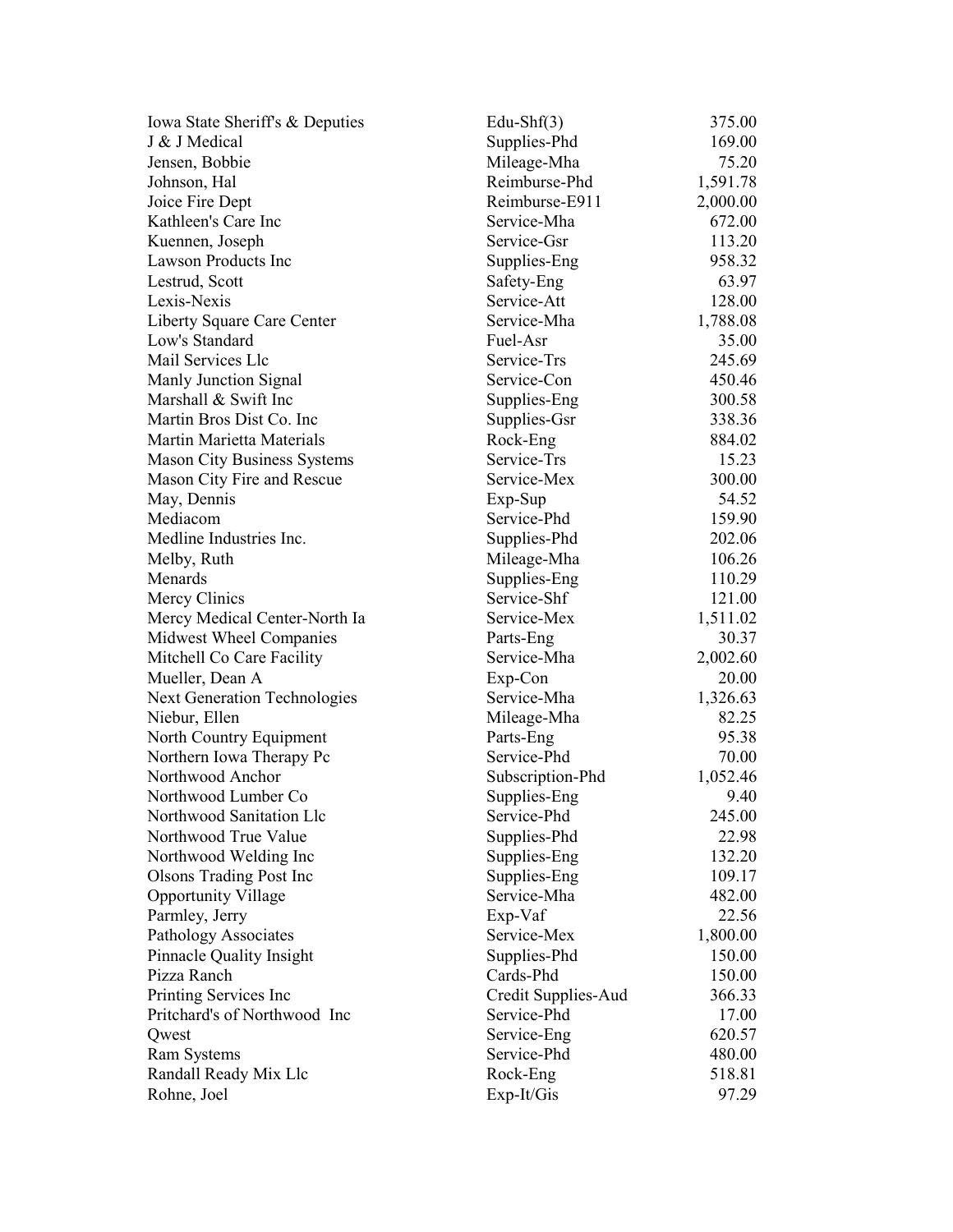| Iowa State Sheriff's & Deputies     | Edu-Sh $f(3)$       | 375.00   |
|-------------------------------------|---------------------|----------|
| J & J Medical                       | Supplies-Phd        | 169.00   |
| Jensen, Bobbie                      | Mileage-Mha         | 75.20    |
| Johnson, Hal                        | Reimburse-Phd       | 1,591.78 |
| Joice Fire Dept                     | Reimburse-E911      | 2,000.00 |
| Kathleen's Care Inc                 | Service-Mha         | 672.00   |
| Kuennen, Joseph                     | Service-Gsr         | 113.20   |
| Lawson Products Inc                 | Supplies-Eng        | 958.32   |
| Lestrud, Scott                      | Safety-Eng          | 63.97    |
| Lexis-Nexis                         | Service-Att         | 128.00   |
| Liberty Square Care Center          | Service-Mha         | 1,788.08 |
| Low's Standard                      | Fuel-Asr            | 35.00    |
| Mail Services Llc                   | Service-Trs         | 245.69   |
| Manly Junction Signal               | Service-Con         | 450.46   |
| Marshall & Swift Inc                | Supplies-Eng        | 300.58   |
| Martin Bros Dist Co. Inc.           | Supplies-Gsr        | 338.36   |
| Martin Marietta Materials           | Rock-Eng            | 884.02   |
| <b>Mason City Business Systems</b>  | Service-Trs         | 15.23    |
| Mason City Fire and Rescue          | Service-Mex         | 300.00   |
| May, Dennis                         | $Exp-Sup$           | 54.52    |
| Mediacom                            | Service-Phd         | 159.90   |
| Medline Industries Inc.             | Supplies-Phd        | 202.06   |
| Melby, Ruth                         | Mileage-Mha         | 106.26   |
| Menards                             | Supplies-Eng        | 110.29   |
| Mercy Clinics                       | Service-Shf         | 121.00   |
| Mercy Medical Center-North Ia       | Service-Mex         | 1,511.02 |
| Midwest Wheel Companies             | Parts-Eng           | 30.37    |
| Mitchell Co Care Facility           | Service-Mha         | 2,002.60 |
| Mueller, Dean A                     | Exp-Con             | 20.00    |
| <b>Next Generation Technologies</b> | Service-Mha         | 1,326.63 |
| Niebur, Ellen                       | Mileage-Mha         | 82.25    |
| North Country Equipment             | Parts-Eng           | 95.38    |
| Northern Iowa Therapy Pc            | Service-Phd         | 70.00    |
| Northwood Anchor                    | Subscription-Phd    | 1,052.46 |
| Northwood Lumber Co                 | Supplies-Eng        | 9.40     |
| Northwood Sanitation Llc            | Service-Phd         | 245.00   |
| Northwood True Value                | Supplies-Phd        | 22.98    |
| Northwood Welding Inc               | Supplies-Eng        | 132.20   |
| <b>Olsons Trading Post Inc</b>      | Supplies-Eng        | 109.17   |
| <b>Opportunity Village</b>          | Service-Mha         | 482.00   |
| Parmley, Jerry                      | Exp-Vaf             | 22.56    |
| Pathology Associates                | Service-Mex         | 1,800.00 |
| <b>Pinnacle Quality Insight</b>     | Supplies-Phd        | 150.00   |
| Pizza Ranch                         | Cards-Phd           | 150.00   |
| Printing Services Inc               | Credit Supplies-Aud | 366.33   |
| Pritchard's of Northwood Inc        | Service-Phd         | 17.00    |
| Qwest                               | Service-Eng         | 620.57   |
|                                     | Service-Phd         | 480.00   |
| Ram Systems                         |                     | 518.81   |
| Randall Ready Mix Llc               | Rock-Eng            |          |
| Rohne, Joel                         | $Exp-It/Gis$        | 97.29    |